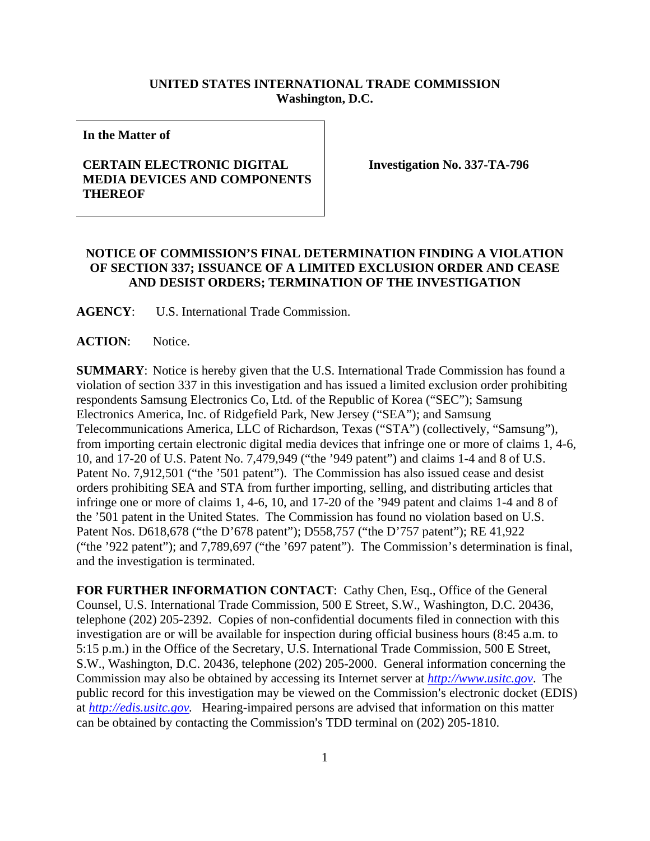## **UNITED STATES INTERNATIONAL TRADE COMMISSION Washington, D.C.**

**In the Matter of** 

## **CERTAIN ELECTRONIC DIGITAL MEDIA DEVICES AND COMPONENTS THEREOF**

**Investigation No. 337-TA-796** 

## **NOTICE OF COMMISSION'S FINAL DETERMINATION FINDING A VIOLATION OF SECTION 337; ISSUANCE OF A LIMITED EXCLUSION ORDER AND CEASE AND DESIST ORDERS; TERMINATION OF THE INVESTIGATION**

**AGENCY**: U.S. International Trade Commission.

ACTION: Notice.

**SUMMARY**: Notice is hereby given that the U.S. International Trade Commission has found a violation of section 337 in this investigation and has issued a limited exclusion order prohibiting respondents Samsung Electronics Co, Ltd. of the Republic of Korea ("SEC"); Samsung Electronics America, Inc. of Ridgefield Park, New Jersey ("SEA"); and Samsung Telecommunications America, LLC of Richardson, Texas ("STA") (collectively, "Samsung"), from importing certain electronic digital media devices that infringe one or more of claims 1, 4-6, 10, and 17-20 of U.S. Patent No. 7,479,949 ("the '949 patent") and claims 1-4 and 8 of U.S. Patent No. 7,912,501 ("the '501 patent"). The Commission has also issued cease and desist orders prohibiting SEA and STA from further importing, selling, and distributing articles that infringe one or more of claims 1, 4-6, 10, and 17-20 of the '949 patent and claims 1-4 and 8 of the '501 patent in the United States. The Commission has found no violation based on U.S. Patent Nos. D618,678 ("the D'678 patent"); D558,757 ("the D'757 patent"); RE 41,922 ("the '922 patent"); and 7,789,697 ("the '697 patent"). The Commission's determination is final, and the investigation is terminated.

FOR FURTHER INFORMATION CONTACT: Cathy Chen, Esq., Office of the General Counsel, U.S. International Trade Commission, 500 E Street, S.W., Washington, D.C. 20436, telephone (202) 205-2392. Copies of non-confidential documents filed in connection with this investigation are or will be available for inspection during official business hours (8:45 a.m. to 5:15 p.m.) in the Office of the Secretary, U.S. International Trade Commission, 500 E Street, S.W., Washington, D.C. 20436, telephone (202) 205-2000. General information concerning the Commission may also be obtained by accessing its Internet server at *http://www.usitc.gov*. The public record for this investigation may be viewed on the Commission's electronic docket (EDIS) at *http://edis.usitc.gov.* Hearing-impaired persons are advised that information on this matter can be obtained by contacting the Commission's TDD terminal on  $(202)$  205-1810.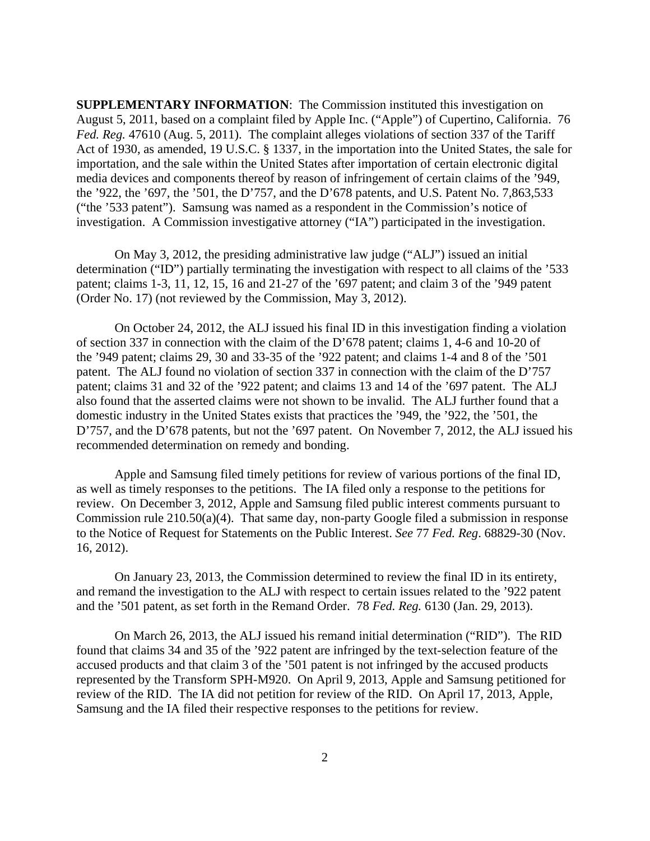**SUPPLEMENTARY INFORMATION**: The Commission instituted this investigation on August 5, 2011, based on a complaint filed by Apple Inc. ("Apple") of Cupertino, California. 76 *Fed. Reg.* 47610 (Aug. 5, 2011). The complaint alleges violations of section 337 of the Tariff Act of 1930, as amended, 19 U.S.C. § 1337, in the importation into the United States, the sale for importation, and the sale within the United States after importation of certain electronic digital media devices and components thereof by reason of infringement of certain claims of the '949, the '922, the '697, the '501, the D'757, and the D'678 patents, and U.S. Patent No. 7,863,533 ("the '533 patent"). Samsung was named as a respondent in the Commission's notice of investigation. A Commission investigative attorney ("IA") participated in the investigation.

On May 3, 2012, the presiding administrative law judge ("ALJ") issued an initial determination ("ID") partially terminating the investigation with respect to all claims of the '533 patent; claims 1-3, 11, 12, 15, 16 and 21-27 of the '697 patent; and claim 3 of the '949 patent (Order No. 17) (not reviewed by the Commission, May 3, 2012).

On October 24, 2012, the ALJ issued his final ID in this investigation finding a violation of section 337 in connection with the claim of the D'678 patent; claims 1, 4-6 and 10-20 of the '949 patent; claims 29, 30 and 33-35 of the '922 patent; and claims 1-4 and 8 of the '501 patent. The ALJ found no violation of section 337 in connection with the claim of the D'757 patent; claims 31 and 32 of the '922 patent; and claims 13 and 14 of the '697 patent. The ALJ also found that the asserted claims were not shown to be invalid. The ALJ further found that a domestic industry in the United States exists that practices the '949, the '922, the '501, the D'757, and the D'678 patents, but not the '697 patent. On November 7, 2012, the ALJ issued his recommended determination on remedy and bonding.

Apple and Samsung filed timely petitions for review of various portions of the final ID, as well as timely responses to the petitions. The IA filed only a response to the petitions for review. On December 3, 2012, Apple and Samsung filed public interest comments pursuant to Commission rule 210.50(a)(4). That same day, non-party Google filed a submission in response to the Notice of Request for Statements on the Public Interest. *See* 77 *Fed. Reg*. 68829-30 (Nov. 16, 2012).

On January 23, 2013, the Commission determined to review the final ID in its entirety, and remand the investigation to the ALJ with respect to certain issues related to the '922 patent and the '501 patent, as set forth in the Remand Order. 78 *Fed. Reg.* 6130 (Jan. 29, 2013).

On March 26, 2013, the ALJ issued his remand initial determination ("RID"). The RID found that claims 34 and 35 of the '922 patent are infringed by the text-selection feature of the accused products and that claim 3 of the '501 patent is not infringed by the accused products represented by the Transform SPH-M920. On April 9, 2013, Apple and Samsung petitioned for review of the RID. The IA did not petition for review of the RID. On April 17, 2013, Apple, Samsung and the IA filed their respective responses to the petitions for review.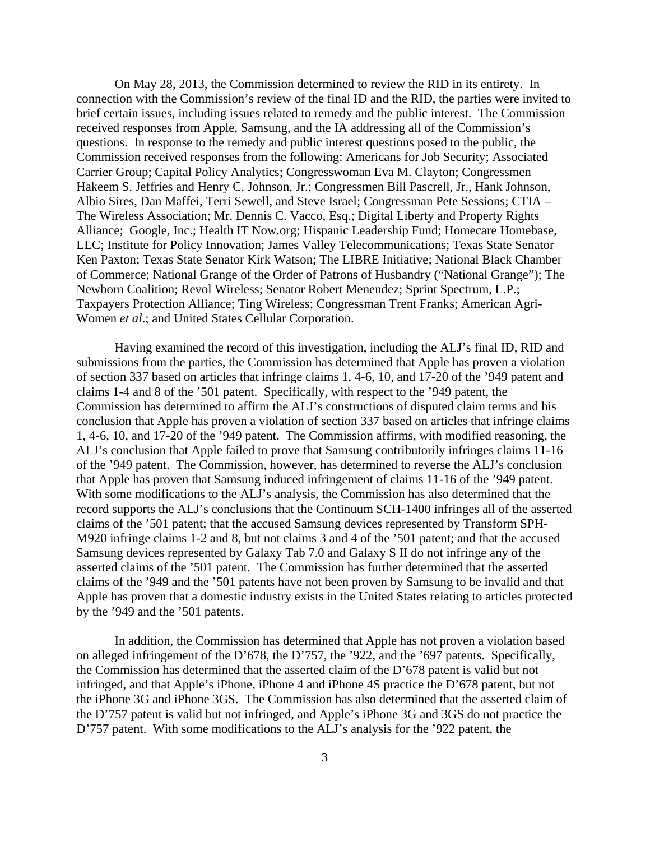On May 28, 2013, the Commission determined to review the RID in its entirety. In connection with the Commission's review of the final ID and the RID, the parties were invited to brief certain issues, including issues related to remedy and the public interest. The Commission received responses from Apple, Samsung, and the IA addressing all of the Commission's questions. In response to the remedy and public interest questions posed to the public, the Commission received responses from the following: Americans for Job Security; Associated Carrier Group; Capital Policy Analytics; Congresswoman Eva M. Clayton; Congressmen Hakeem S. Jeffries and Henry C. Johnson, Jr.; Congressmen Bill Pascrell, Jr., Hank Johnson, Albio Sires, Dan Maffei, Terri Sewell, and Steve Israel; Congressman Pete Sessions; CTIA – The Wireless Association; Mr. Dennis C. Vacco, Esq.; Digital Liberty and Property Rights Alliance; Google, Inc.; Health IT Now.org; Hispanic Leadership Fund; Homecare Homebase, LLC; Institute for Policy Innovation; James Valley Telecommunications; Texas State Senator Ken Paxton; Texas State Senator Kirk Watson; The LIBRE Initiative; National Black Chamber of Commerce; National Grange of the Order of Patrons of Husbandry ("National Grange"); The Newborn Coalition; Revol Wireless; Senator Robert Menendez; Sprint Spectrum, L.P.; Taxpayers Protection Alliance; Ting Wireless; Congressman Trent Franks; American Agri-Women *et al*.; and United States Cellular Corporation.

Having examined the record of this investigation, including the ALJ's final ID, RID and submissions from the parties, the Commission has determined that Apple has proven a violation of section 337 based on articles that infringe claims 1, 4-6, 10, and 17-20 of the '949 patent and claims 1-4 and 8 of the '501 patent. Specifically, with respect to the '949 patent, the Commission has determined to affirm the ALJ's constructions of disputed claim terms and his conclusion that Apple has proven a violation of section 337 based on articles that infringe claims 1, 4-6, 10, and 17-20 of the '949 patent. The Commission affirms, with modified reasoning, the ALJ's conclusion that Apple failed to prove that Samsung contributorily infringes claims 11-16 of the '949 patent. The Commission, however, has determined to reverse the ALJ's conclusion that Apple has proven that Samsung induced infringement of claims 11-16 of the '949 patent. With some modifications to the ALJ's analysis, the Commission has also determined that the record supports the ALJ's conclusions that the Continuum SCH-1400 infringes all of the asserted claims of the '501 patent; that the accused Samsung devices represented by Transform SPH-M920 infringe claims 1-2 and 8, but not claims 3 and 4 of the '501 patent; and that the accused Samsung devices represented by Galaxy Tab 7.0 and Galaxy S II do not infringe any of the asserted claims of the '501 patent. The Commission has further determined that the asserted claims of the '949 and the '501 patents have not been proven by Samsung to be invalid and that Apple has proven that a domestic industry exists in the United States relating to articles protected by the '949 and the '501 patents.

In addition, the Commission has determined that Apple has not proven a violation based on alleged infringement of the D'678, the D'757, the '922, and the '697 patents. Specifically, the Commission has determined that the asserted claim of the D'678 patent is valid but not infringed, and that Apple's iPhone, iPhone 4 and iPhone 4S practice the D'678 patent, but not the iPhone 3G and iPhone 3GS. The Commission has also determined that the asserted claim of the D'757 patent is valid but not infringed, and Apple's iPhone 3G and 3GS do not practice the D'757 patent. With some modifications to the ALJ's analysis for the '922 patent, the